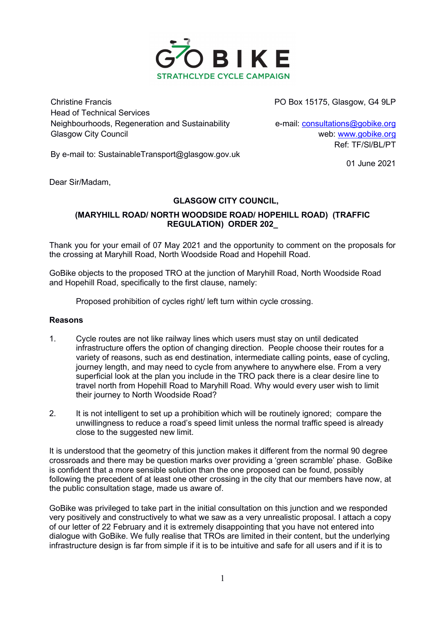

Christine Francis PO Box 15175, Glasgow, G4 9LP Head of Technical Services Neighbourhoods, Regeneration and Sustainability e-mail: consultations@gobike.org Glasgow City Council and the control of the control of the web: www.gobike.org

Ref: TF/Sl/BL/PT

By e-mail to: SustainableTransport@glasgow.gov.uk

01 June 2021

Dear Sir/Madam,

## GLASGOW CITY COUNCIL,

## (MARYHILL ROAD/ NORTH WOODSIDE ROAD/ HOPEHILL ROAD) (TRAFFIC REGULATION) ORDER 202\_

Thank you for your email of 07 May 2021 and the opportunity to comment on the proposals for the crossing at Maryhill Road, North Woodside Road and Hopehill Road.

GoBike objects to the proposed TRO at the junction of Maryhill Road, North Woodside Road and Hopehill Road, specifically to the first clause, namely:

Proposed prohibition of cycles right/ left turn within cycle crossing.

## Reasons

- 1. Cycle routes are not like railway lines which users must stay on until dedicated infrastructure offers the option of changing direction. People choose their routes for a variety of reasons, such as end destination, intermediate calling points, ease of cycling, journey length, and may need to cycle from anywhere to anywhere else. From a very superficial look at the plan you include in the TRO pack there is a clear desire line to travel north from Hopehill Road to Maryhill Road. Why would every user wish to limit their journey to North Woodside Road?
- 2. It is not intelligent to set up a prohibition which will be routinely ignored; compare the unwillingness to reduce a road's speed limit unless the normal traffic speed is already close to the suggested new limit.

It is understood that the geometry of this junction makes it different from the normal 90 degree crossroads and there may be question marks over providing a 'green scramble' phase. GoBike is confident that a more sensible solution than the one proposed can be found, possibly following the precedent of at least one other crossing in the city that our members have now, at the public consultation stage, made us aware of.

GoBike was privileged to take part in the initial consultation on this junction and we responded very positively and constructively to what we saw as a very unrealistic proposal. I attach a copy of our letter of 22 February and it is extremely disappointing that you have not entered into dialogue with GoBike. We fully realise that TROs are limited in their content, but the underlying infrastructure design is far from simple if it is to be intuitive and safe for all users and if it is to